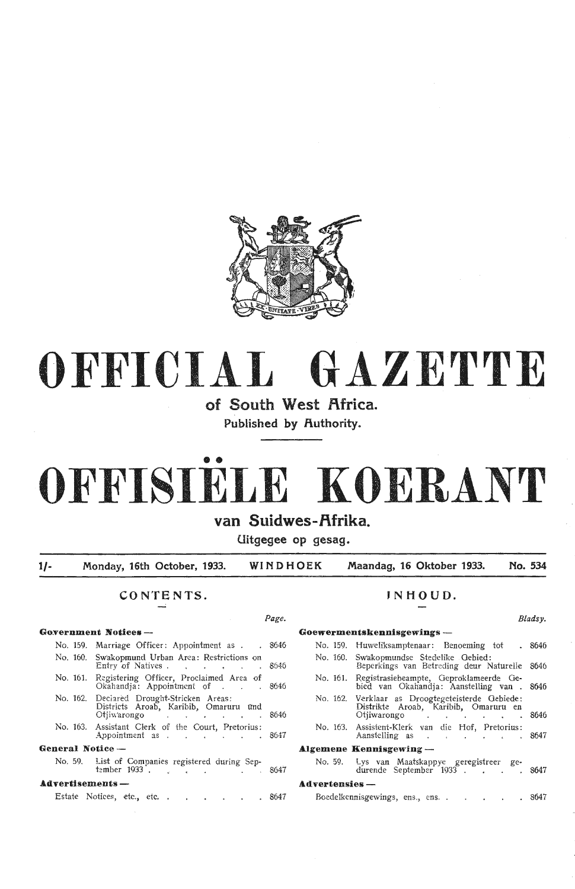

# **OFFICIAL GAZETTE**

**of South West Africa.**  Published by Authority.

# •• **OFFISIELE KOERANT**

# van Suidwes-Afrika.

**C.Iitgegee op gesag.** 

**1/- Monday, 16th October, 1933. WINDHOEK Maandag, 16 Oktober 1933. No. 534** 

# CONTENTS. **INHOUD.**

|                         | No. 159. Marriage Officer: Appointment as 8646                                                         |       |
|-------------------------|--------------------------------------------------------------------------------------------------------|-------|
|                         | No. 160. Swakopmund Urban Area: Restrictions on<br>Entry of Natives 8646                               |       |
| No. 161.                | Registering Officer, Proclaimed Area of<br>Okahandja: Appointment of 8646                              |       |
|                         | No. 162. Declared Drought-Stricken Areas:<br>Districts Aroab, Karibib, Omaruru und<br>Otjiwarongo 8646 |       |
|                         | No. 163. Assistant Clerk of the Court, Pretorius:<br>Appointment as 8647                               |       |
| General Notice —        |                                                                                                        |       |
|                         | No. 59. List of Companies registered during Sep-<br>tember 1933. $\frac{1}{2}$ . $\frac{1}{2}$ . 8647  |       |
| <b>Advertisements —</b> |                                                                                                        |       |
|                         | Estate Notices, etc., etc.                                                                             | .8647 |

# **Go:vernment Notices** - **Goewermentskennisgewings** - No. 159. Huweliksamptenaar: Benoeming tot . 8646 No. 160. SW'akopmundse Stedelike Oebied: Beperkings van Betreding deur Naturelle 8646 No. 161. Registrasiebeampte, Geproklameerde Gebied van Okahandja: Aanstelling van . 8646 No. 162. Verklaar as Droogtegeteisterde Gebiede: Distrikte Aroab, Karibib, Omaruru en Otjiwarongo 8646 No. 163. Assistent-Klerk van die Hof, Pretorius: Aanstelling as 8647 Algemene Kennisgewing -No. 59. Lys van Maatskappye geregistreer gedurende September 1933  $\ldots$   $\ldots$  8647  $A$ dvertensies -Boedelkennisgewings, ens., ens. . . . . . 8647

*Page. Bladsy.*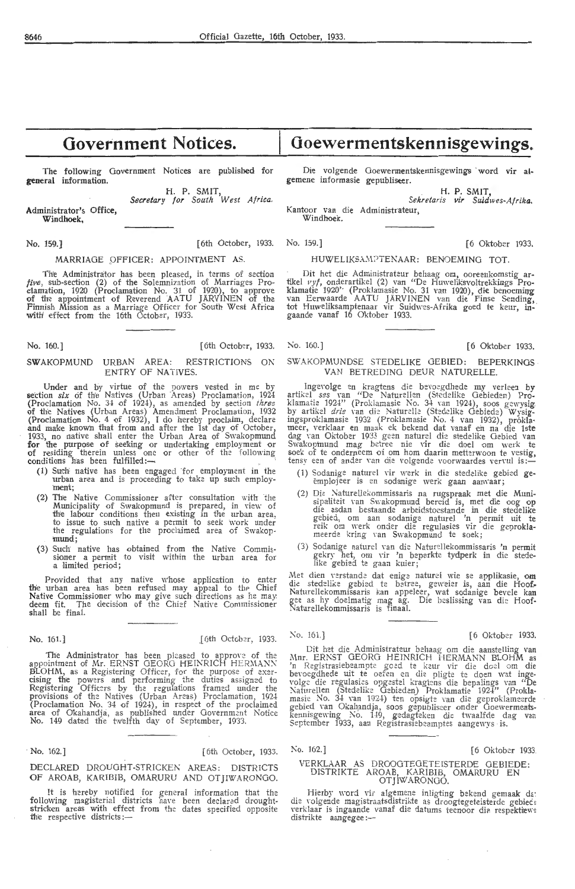The following Government Notices are published for **general** information.

> H. P. SMIT, *Secretary for South West Africa.*

Administrator's Office, Windhoek,

# MARRIAGE OFFICER: APPOINTMENT AS.

The Administrator has been pleased, in terms of section *five*, sub-section (2) of the Solemnization of Marriages Proclamation, 1920 (Proclamation No. 31 of 1920), to approve of the appointment of Reverend AATU JARVINEN of the Finnish Mission as a Marriage Officer for South West Africa with' effect from the 16th October, 1933.

## **No.** 160.] [6th October, 1933.

# SWAKOPMUND URBAN AREA: RESTRICTIONS ON ENTRY OF NATIVES.

Under and by virtue of the powers vested in me by section *six* of the Natives (Urban Areas) Proclamation, 1924 (Proclamation No. 34 of 1924), as amended by section *three* of the Natives (Urban Areas) Amendment Proclamation, 1932 (Proclamation No. 4 of 1932), I do hereby proclaim, declare and make known that from and after the 1st day of October, 1933, no native shall enter the Urban Area of Swakopmund **for the purpose of seeking or undertaking employment or of residing therein unless one or other of the following** conditions has been fulfilled: $-$ 

- (1) Such native has been engaged ·for employment in the urban area and is proceeding to take up such employ-<br>ment;
- (2) The Native Commissioner after consultation with the Municipality of Swakopmund is prepared, in view of the labour conditions then existing in the urban area, to issue to such native a permit to seek work under<br>the regulations for the proclaimed area of Swakopmund;
- (3) Such' native has obtained from the Nati\•e Commis- sioner a permit to visit within the urban area for a limited period;

Provided that any native whose application to enter the urban area has been refused may appeal to the Chief Native Commissioner who may give such directions as he may deem fit. The decision of the Chief Native Commissioner deem fit. The shall be final.

No. 161.] .[6th Octob~r, 1933.

The Administrator has been pleased to approve of the appointment of Mr. ERNST GEORG HEINRICH HERMANN BLOHM, as a Registering Officer, for the purpose of exer-<br>cising the powers and performing the duties assigned to Registering Officrs by the regulations framed under the provisions of the Natives (Urban Areas) Proclamation, 192-l (Proclamation No. 34 of 1924), in respect of the proclaimed<br>area of Okahandja, as published under Government Notice No. 149 dated the twelfth day of September, 1933.

# No. 162.] [6th October, 1933.

DECLARED DROUGHT-STRICKEN AREAS: DISTRICTS OF AROAB, KARIBIB, OMARURU AND OTJIWARONOO.

It is hereby notified for general information that the<br>following magisterial districts have been declared drought-<br>stricken areas with effect from the dates specified opposite fhe respective districts:- •

# **Goewermentskennisgewings.**

Die volgende Goewermentskennisgewings word vir algemene informasie gepubliseer.

> H. P. SMIT, *Sekretaris vir Suidwes-A/rika.*

Kantoor van die Administrateur, Windhoek.

No. 159.) [6th October, 1933. No. 159.] [6 Oktober 1933.

# HUWELIKSAMPTENAAR: BENOEMING TOT.

· Dit het die Administrat::ur behaag om, oorewkomstig ar- tikel *11yf,* onderartikel (2) ,·an "De Huweliksvoltrekkings Proklamatie 1920' (Proklamasie No. 31 van 1920), die benoeming van Eerwaarde AATU JARVfNEN van die Finse Sending, tot Huweliksamptenaar vir Suidwes-Afrika goed te keur, ingaande vanaf 16 O'ktober 1933.

# No. 160.] [6 Oktober 1933.

# SWAKOPMUNDSE STEDELIKE GEBIED: BEPERKINGS VAN BETREDING DEUR NATURELLE.

lngevolge en kragtens die bernegdhede my verleen by artikel *ses* van "De Naturellen (Stedelike Gebieden) Proklamatie 1924'' (Proklamasie No. 34 van 1924), soos gewysig by artikel *drie* van die Naturelle (Stedelike Gebiede) Wysigingsproklamasie 1932 (Proklamasie No. 4 van 1932), prokla-<br>meer, verklaar en maak ek bekend dat vanaf en na die 1ste dag van Oktober 1933 geen naturel die stedelike Gebied van<br>Swakopinund mag betree nie vir die doel om werk te soek of te onderneem of om hom daarin metterwoon te vestig,<br>tensy een of ander van die volgende voorwaardes vervul is:-

- (1) Sodanige naturel vir werk in die stedelike gebied geëmplojeer is en sodanige werk gaan aanvaar;
- (2) Die Naturellekommissaris na rugspraak met die Munisipaliteit van Swakopmund bereid is, met die oog op die asdan bestaande arbeidstoestande in die stedelike gebied, om aan sodanige nature! 'n permit uit te reik om werk onder die regulasies vir die geprokl**a**-<br>meerde kring van Swakopmund te soek;
- (3) Sodanige naturel van die Naturellekommissaris 'n permit gekry het, om vir 'n beperkte tydperk in die stedelike gebied te gaan kuier;

Met dien verstande dat enige naturel wie se applikasie, **om** die stedelike gebied te betree, geweier is, aan die Hoof. Naturellekommissaris kan appeleer, wat sodanige bevele kan gee as hy doelmatig mag ag. Die beslissing van die Hoof-Naturellekommissaris is finaal.

# No. 161.] [6 Oktober 1933.

Dit het die Administrateur behaag om die aanstelling van ,<br>Mnr. ERNST GEORG HEINRICH HERMANN BLOHM as 'n Registrasiebeampte goed te keur vir die doe! om die bevoegdhede uit te oefen en die pligte te doen wat ingevolge die regulasies opgestel kragtens die bepalings van "De Naturellen (Stedelike Oebieden) Proklamatie 1924" (Prokla-<br>masie No. 34 van 1924) ten opsigte van die geproklameerde gebied van Okahandja, soos gepubliseer onder Goewermentskennisgewing No. 149, gedagteken die twaalfde dag van September 1933, aan Registrasiebeamptes aangewys is.

# No. 162.] [6 Oktober 1933.

# VERKLAAR AS DROOGTEGE:TEISTERDE GEBIEDE: DlSTRlKTE AROAB, KARIBIB, OMARURU EN OTJIWARONGO.

Hierby word vir algemene inligting bekend gemaak da: die volgende magistraatsdistrikte as droogtegeteisterde gebiec: verklaar is ingaande vanaf die datums teenoor die respektiewe<br>distrikte aangegee:---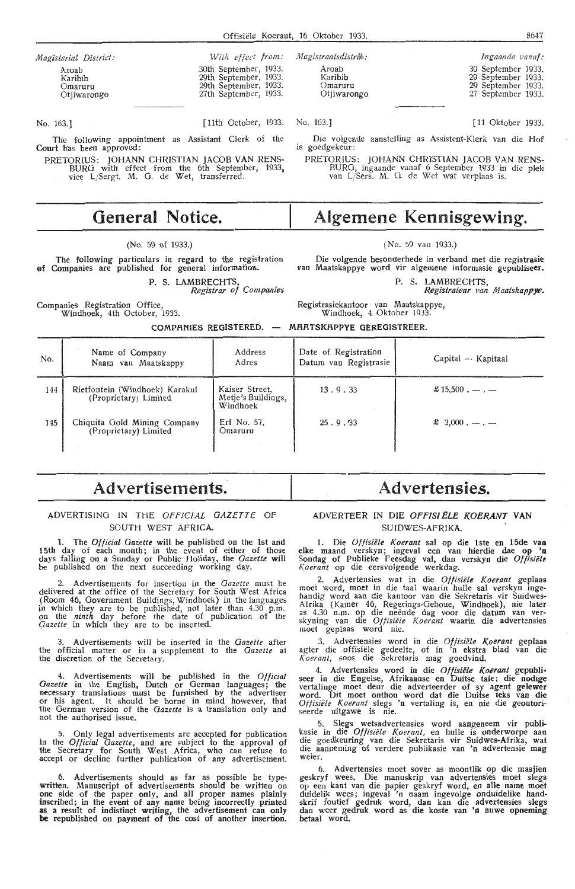| Magisterial District:                      | With effect from:                                                                                 | M |
|--------------------------------------------|---------------------------------------------------------------------------------------------------|---|
| Aroab<br>Karibib<br>Omaruru<br>Otjiwarongo | .30th September, 1933.<br>29th September, 1933.<br>29th September, 1933.<br>27th September, 1933. |   |
|                                            |                                                                                                   |   |

No. 163.] [11th October, 1933.

The following appointment as Assistant Clerk of the Court has been approved:

PRETORIUS: JOHANN CHRISTIAN JACOB **VAN** RENS-BURO ,vith effect from the 6th September, 1933, vice L/Sergt. **M.** 0. de Wet, transferred.

# **General Notice.**

# (No. 59 of 1933.)

The following particulars in regard to the registration ef Companies are published for general information.

> P. S. LAMBRECHTS, *Registrar of Companies*

Companies Registration Office, Windhoek, 4th October, 1933.

Omaruru Otjiwarongo No. 163.) Die volgende aanstelling as Assistent-Klerk van die Hof

is goedgekeur: PRETORIUS: JOHANN CHRISTIAN JACOB VAN RENS-<br>BURG, ingaande vanaf 6 September 1933 in die plek<br>van L/Sers. M. G. de Wet wat verplaas is.

**Algemene Kennisgewing.** 

# (No. 59 van 1933.)

Die volgende besomterhede in verband met die registrasie van Maatskappye word vir algemene informasie gepubliseer.

P. S. LAMBRECHTS,

*R.egistrateur van Afoatskappye.* 

Registrasiekantoor van Maatskappye, Windhoek, 4 Oktober 19J3.

**COMPf\NIES REGISTERED. MRRTSKRPPYE GEREGISTREER.** 

| No. | Name of Company<br>Naam van Maatskappy                  | Address<br>Adres                                 | Date of Registration<br>Datum van Registrasie | $Capital - Kapitaal$                    |
|-----|---------------------------------------------------------|--------------------------------------------------|-----------------------------------------------|-----------------------------------------|
| 144 | Rietfontein (Windhoek) Karakul<br>(Proprietary) Limited | Kaiser Street,<br>Metje's Buildings,<br>Windhoek | 13.9.33                                       | $\text{\pounds} 15.500 \cdot - \cdot -$ |
| 145 | Chiquita Gold Mining Company<br>(Proprietary) Limited   | Erf No. 57,<br>Omaruru                           | 25.9.33                                       | $\pounds$ 3,000. $-$ . $-$              |

# **Advertisements.**

# ADVERTISING IN THE OFFICIAL GAZETTE OF SOUTH WEST AFRICA.

1. The *Ofticial Gazette* will be published on the 1st and 15th day of each month; in the event of either of thost: days falling on a Sunday or Public Holiday, the *Gazette* will be published on the next succeeding working day.

2. Advertisements for insertion in the *Gazette* must be delivered at the office of the Secretary for South West Africa (Room 46, Government Buildings, Windhoek) in the languages in which they are to be published, not later than 4.30 p.m. on the *ninth* day before the date of publication of the *Qazette* in which they are to be inserted.

3. Advertisements will be inserted in the *Gazette* after the official matter or in a supplement to the *Gazetu* ai the discretion of the Secretary.

4. Advertisements will be published in the *Official Oazette* in the English, Dutch or German languages; the necessary translations must be furnished by the advertiser or his agent. It should be borne in mind however, that the German version of the *Gazette* is a translation only and not the authorised issue.

5. Only legal advertisements are accepted for publication in the *Official Gazette,* and are subject to the approval of the Secretary for South West Africa, who can refuse *to*  accept or decline further publication of any advertisement.

6. Advertisements should as far as possible be typewritten. Manuscript of advertisements should be written on **one** side of the paper only, and all proper names plainly inscribed; in the event of any name being incorrectly printed **as a** result of indistinct writing, the advertisement can only **be** republished on payment of the cost of another insertion.

# **Advertensies.**

# ADVERTEER IN DIE OFFISI ELE KOERANT VAN SUIDWES-AFRIKA.

1. Die *Off isiele Koerant* sal op die lste en 15de van elke maand verskyn; ingeval een van hierdie dae op **'o**  Sondag of Publieke Feesdag val, dan verskyn die *Oftisielt Koerant* op die eersvolgende werkdag.

2. Advertensies wat in die *Oftisiele Koerant* geplaas moet word, moet in die taal waarin hulle sal verskyn ingehandig word aan die kantoor van die Sekretaris vir Suidwes-Afrika (Kamer 46, Regerings-Geboue, Windhoek), nie later<br>as 4.30 n.m. op die neënde dag voor die datum van ver-<br>skyning van die *Offisiële Koerant* waarin die advertensies moet geplaas word nie.

3. Advertensies word in die *Otfisiele Koerant* geplaas agter die offisiele gedeelte, of in 'n ekstra blad van die *Koerant,* soos die Sekretaris mag goedvind.

4. Advertensies word in die *Offisiële Koerant* gepubli-<br>1991 seer in die Engelse, Afrikaanse en Duitse tale; die nodige vertalinge moet deur die adverteerder of sy agent gelewer word. Dit moet onthou word dat die Duitse teks van die *Offisiele Koerant* slegs 'n vertaling is, en nie die geoutoriseerde uitgawe is nie.

5. SI,egs wetsadvertensies word aangeneem vir publi-kasie in die *Off isiele Koerant,* en hulle is onderworpe aan die goedkeuring van die Sekretaris vir Suidwes-Afrika, **wat**  die aanneming of verdere publikasie van 'n advertensie mag weier.

6. Advertensies moet sover as moontlik op die masjien geskryf wees. Die manuskrip van advertensies moet slegs op een kant van die papier geskryf word, en alle name moet<br>duidelik wees; ingeval 'n naam ingevolge onduidelike handskrif foutief gedruk word, dan kan die advertensies slegs dan weer gedruk word as die koste van 'n nuwe opneming betaal word.

| Magistraatsdistrik:                        | Ingaande vanaf:                                                                      |
|--------------------------------------------|--------------------------------------------------------------------------------------|
| Aroab<br>Karibib<br>Omaruru<br>Otjiwarongo | 30 September 1933.<br>29 September 1933.<br>29 September 1933.<br>27 September 1933. |
|                                            |                                                                                      |
| $\mathcal{P}_{\mathcal{M}}$<br>No. 163.1   | [11 Oktober 1933.                                                                    |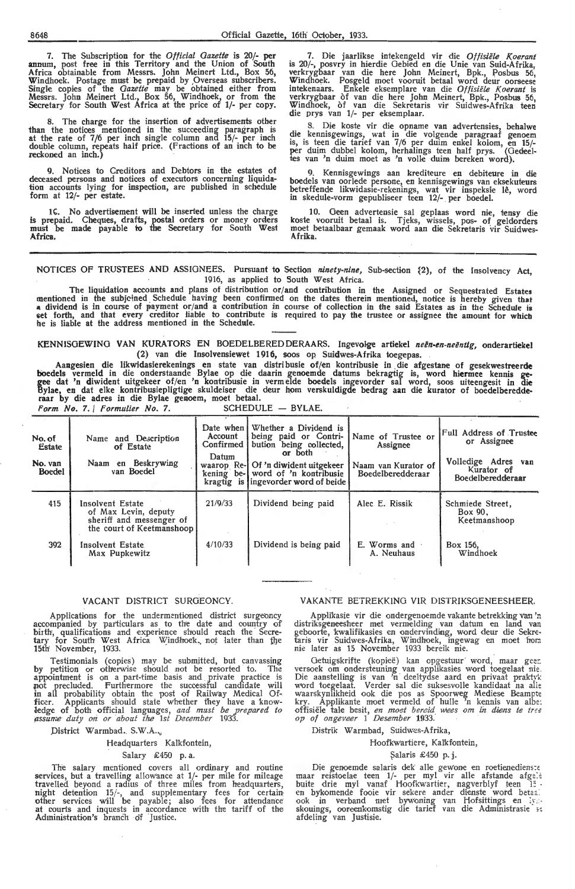7. The Subscription for the *Official Gazette* is 20/· **per**  annum, post free in this Territory and the Union of South **Africa** obtainable from Messrs. John Meinert Ltd., Box 56, Windhoek. Postage must be prepaid by ,Overseas subscribers. Single copies of the *Gazette* may be obtained either from Messrs. John Meinert Ltd., Box 56, Windhoek, or from the Secretary for South West Africa at the price of 1/- per copy.

The charge for the insertion of advertisements other than the notices mentioned in the succeeding paragraph is at the rate of 7/6 per inch single column and 15/- per inch double column, repeats half price. (Fractions of an inch to be reckoned an inch.)

**9.** Notices to Creditors and Debtors in the estates of deceased persons and notices of executors concerning liquidation accounts lying for inspection, are published in schedule form at 12/- per estate.

16. No advertisement will be inserted unless the charge is prepaid. Cheques, drafts, postal orders or money orders must be made payable to the Secretary for South West **Africa.** 

7. Die jaarlikse intekengeld vir die Offisiële Koerant is 20/-, posvry in hierdie Gebied en die Unie van Suid-Afrika, verkrygbaar van die here John Meinert, Bpk., Posbus 56, Windhoek. Posgeld moet vooruit betaal word deur oorseese intekenaars. Enkele eksemplare van die *Offisiele Koerant* is verkrygbaar of van die here John Meinert, Bpk., Posbus 56, Windhoek, of van die Sekretaris vir Suidwes-Afrika teen die prys van 1/- per eksemplaar.

8. Die koste vir die opname van advertensies, behalwe die kennisgewings, wat in die volgende paragraaf genoem is, is teen die tarief van 7/6 per duim enkel kolom, en **15/-** per duim dubbel kolom, herhalings teen half prys. (Gedeeltes van 'n duim moet as 'n volle duim bereken word).

**9.** Kennisgewings aan krediteure en debiteure in die boedels van oorlede persone, en kennisgewings van eksekuteurs betreffende likwidasie-rekenings, wat vir inspeksie le, word in skedule-vorm gepubliseer teen 12/- per boedel.

10. Geen advertensie sal geplaas **word** nie, tensy die koste vooruit betaal is. Tjeks, wissels, pos- of geldorders moet betaalbaar gemaak word aan die Sekretaris vir Suidwes-Afrika.

NOTICES OF TRUSTEES AND ASSIGNEES. Pursuant to Section *ninety-nine,* Sub-section ~2), of the Insolvency **Act,**  1916, as applied to South West Africa.<br>The liquidation accounts and plans of distribution or/and contribution in the Assigned or Sequestrated Estates

The liquidation accounts and plans of distribution or/and contribution in the Assigned or Sequestrated Estates<br>a dividend in the subjeined Schedule having been confirmed on the dates therein mentioned, notice is hereby giv get forth, and that every creditor liable to contribute is required to pay the trustee or assignee the amount for which he is liable at the address mentioned in the Schedule.

# KENNISGEWING VAN KURATORS EN BOEDELBERED DERAARS. Ingevolge artiekel neën-en-neëntig, onderartiekel (2) van die Insolvensiewet 1916, soos op Suidwes-Afrika toegepas.

Aangesien die likwidasierekenings en state van distribusie of/en kontribusie in die afgestane of gesekwestreerde boedels vermeld in die onderstaande Bylae op die daarin genoemde datums bekragtig is, word hiermee kennis ge• gee dat 'n diwident uitgekeer of/en 'n kontribusie in vermelde boedels ingevorder sal word, soos uiteengesit in die Bylae, en dat elke kontribusiepligtige skuldeiser die deur hom verskuldigde bedrag aan die kurator of boedelberedde-<br>raar by die adres in die Bylae genoem, moet betaal. *Form No. 7. | Formulier No. 7.* 

| <b>SCHEDULE</b> | BYLAE. |
|-----------------|--------|
|-----------------|--------|

| No. of<br><b>Estate</b><br>No. van<br>Boedel | Name and Description<br>of Estate<br>Naam en Beskrywing<br>van Boedel                             | Date when I<br>Account<br>Confirmed I<br>Datum | Whether a Dividend is<br>being paid or Contri-<br>bution being collected,<br>or both<br>waarop Re-1 Of 'n diwident uitgekeer<br>kening be- word of 'n kontribusie<br>kragtig is ingevorder word of beide | Name of Trustee or<br>Assignee<br>Naam van Kurator of<br>Boedelberedderaar | <b>Full Address of Trustee</b><br>or Assignee<br>Volledige Adres van<br>Kurator of<br>Boedelberedderaar |
|----------------------------------------------|---------------------------------------------------------------------------------------------------|------------------------------------------------|----------------------------------------------------------------------------------------------------------------------------------------------------------------------------------------------------------|----------------------------------------------------------------------------|---------------------------------------------------------------------------------------------------------|
| 415                                          | Insolvent Estate<br>of Max Levin, deputy<br>sheriff and messenger of<br>the court of Keetmanshoop | 21/9/33                                        | Dividend being paid                                                                                                                                                                                      | Alec E. Rissik                                                             | Schmiede Street.<br>Box 90.<br>Keetmanshoop                                                             |
| 392                                          | Insolvent Estate<br>Max Pupkewitz                                                                 | 4/10/33                                        | Dividend is being paid                                                                                                                                                                                   | E. Worms and<br>A. Neuhaus                                                 | Box 156.<br>Windhoek                                                                                    |

# VACANT DISTRICT SURGEONCY.

Applications for the undermentioned district surgeoncy accompanied by particulars as to the date and country of birth, qualifications and experience should reach the Secretary for South West Africa Windhoek, not later than the 15th<sup>-</sup>November, 1933.

Testimonials (copies) may be submitted, but canvassing by petition or otherwise should not be resorted to. The appointment is on a part-time basis and private practice is pot precluded. Furthermore the sucoessful candidate will in all probability obtain the post of Railway Medical Officer. Applicants should state whether they have a knowledge of both official languages, and must be prepared to *(,lssume · duty on or about ih.e 1st December* 1933.

District Warmbad. S.W.A...

Headquarters Kalkfontein,

## Salary £450 p. a.

The salary mentioned covers all ordinary and routine services, but a travelling allowance at 1/- per mile for mileage travelled beyond a radius of three miles from headquarters, night detention 15/-, and supplementary fees for certain other services will be payable; also fees for attendance<br>at courts and inquests in accordance with the tariff of the<br>Administration's branch of Justice.

# VAKANTE BETREKK!NO VIR DISTRIKSGENEESHEER.

Appli'kasie vir die ondergenoemde vakante betrekking Van 'n distriksgeneesheer met vermelding van datum en land van<br>geboorte, kwalifikasies en ondervinding, word deur die Sekretaris vir Suidwes-Afrika, Windhoek, ingewag en moet hom nie later as 15 Novembet 1933 bereik nie.

Getuigskrifte (kopieë) kan opgestuur word, maar geer.<br>versoek om ondersteuning van applikasies word toegelaat nie.<br>Die aanstelling is van 'n deeltydse aard en privaat praktyk word toegelaat. Verder sal die suksesvolle kandidaat na alie waarskynlikheid ook die pos as Spoorweg Mediese Beampte<br>kry. Applikante moet vermeld of hulle 'n kennis van albe: offisiële tale besit, *en moet bereid wees om in diens te tree op of ongev.eer* 1 *Desember* 1933.

Distrik Warmbad, Suidwes-Afrika,

## Hoofkwartiere, Kalkfontein,

## Salaris £450 p.j.

Die genoemde salaris dek alle gewone en roetienedienste maar reistoelae teen 1/- per myl vir alle afstande afgele buite drie myl vanaf Hoofkwartier, nagverblyf teen 15 en bykomende fooie vir sekere ander dienste word betaal<br>ook in verband met bywoning van Hofsittings en lysskouings, ooreenkomstig die tarief van die Administrasie se afdeling van Justisie.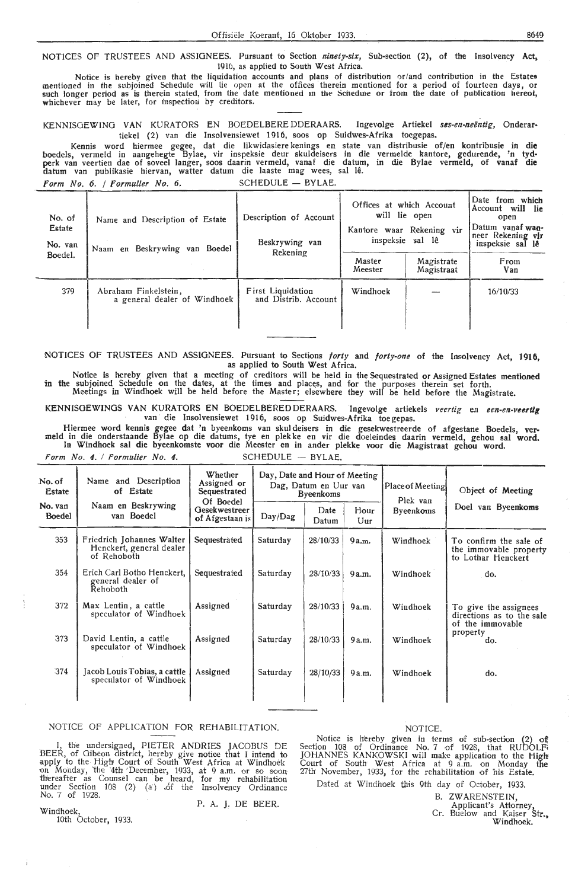Offisiële Koerant, 16 Oktober 1933. S649

NOTICES OF TRUSTEES AND ASSIGNEES. Pursuant to Section *ninety-six,* Sub-section (2), of the Iasolvency **Act,**  191b, as applied to South West Africa.

Notice is hereby given that the liquidation accounts and plans of distribution or/and contribution in the Estates mentioned in the subjoined Schedule will lie open at the offices therein mentioned for a period of fourteen days, or<br>such longer period as is therein stated, from the date mentioned in the Schedule or from the date of publ

KENNISGEWING VAN KURATORS EN BOEDELBERE DDERAARS. Ingevolge Artiekel ses-en-neëntig, Onderartiekel (2) van die Insolvensiewet 1916, soos op Suidwes-Afrika toegepas.

Kennis word hiermee gegee, dat die likwidasiere kenings en state van distribusie of/en kontribusie in die boedels, vermeld in aangehegte Bylae, vir inspeksie deur skuldeisers in die vermelde kantore, gedurende, 'n tyd perk van veertien dae of soveel langer, soos daarin vermeld, vanaf die datum, in die Bylae vermeld, of vanaf die datum van publikasie hiervan, watter datum die laaste mag wees, sal lê. *Form No. 6. / Formuller No. 6.* SCHEDULE - BYLAE.

| No. of<br><b>Estate</b><br>No. van | Name and Description of Estate<br>Naam en Beskrywing van Boedel | Description of Account<br>Beskrywing van         | Offices at which Account<br>will lie open<br>Kantore waar Rekening vir<br>inspeksie sal lê | Date from which<br>Account will lie<br>open<br>Datum vanaf wan-<br>neer Rekening vir<br>inspeksie sal lê |                    |
|------------------------------------|-----------------------------------------------------------------|--------------------------------------------------|--------------------------------------------------------------------------------------------|----------------------------------------------------------------------------------------------------------|--------------------|
| Boedel.                            |                                                                 | Rekening                                         | Master<br>Meester                                                                          | Magistrate<br>Magistraat                                                                                 | From<br><b>Van</b> |
| 379                                | Abraham Finkelstein,<br>a general dealer of Windhoek            | <b>First Liquidation</b><br>and Distrib. Account | Windhoek                                                                                   |                                                                                                          | 16/10/33           |

NOTICES OF TRUSTEES AND ASSIGNEES. Pursuant to Sections *forty* and *forty-one* of the Insolvency Act, 1916, as applied to South West Africa.

Notice is hereby given that a meeting of creditors will be held in the Sequestrated or Assigned Estates mentioned in the subjoined Schedule on the dates, at the times and places, and for the purposes therein set forth. Meetings in Windhoek will be held before the Master; elsewhere they will be held before the Magistrate.

KENNISGEWINGS VAN KURATORS EN BOEDELBEREDDERAARS. Ingevolge artiekels veertig en een-en-veertig van die Insolvensiewet 1916, soos op Suidwes-Afrika toe gepas.

Hiermee word kennis gegee dat 'n byeenkoms van skuldeisers in die gesekwestreerde of afgestane Boedels, vermeld in die onderstaande Bylae op die datums, tye en plekke en vir die doeleindes daarin vermeld, gehou sal word. In Windhoek sal die byeenkomste voor die Meester en in ander plekke voor die Magistraat gehou word.

Form No. 4. / Formulier No. 4. SCHEDULE - BYLAE.

| No. of<br>Estate                                             | Name and Description<br>of Estate                                    | Whether<br>Assigned or<br>Sequestrated<br>Of Boedel | Day, Date and Hour of Meeting<br>Dag, Datum en Uur van<br><b>Byeenkoms</b> |               |             | Place of Meeting<br>Plek van | Object of Meeting                                                      |
|--------------------------------------------------------------|----------------------------------------------------------------------|-----------------------------------------------------|----------------------------------------------------------------------------|---------------|-------------|------------------------------|------------------------------------------------------------------------|
| Naam en Beskrywing<br>No. van<br>van Boedel<br><b>Boedel</b> |                                                                      | Gesekwestreer<br>of Afgestaan is                    | Day/Dag                                                                    | Date<br>Datum | Hour<br>Uur | Byeenkoms                    | Doel van Byeenkoms                                                     |
| 353                                                          | Friedrich Johannes Walter<br>Henckert, general dealer<br>of Rehoboth | Sequestrated                                        | Saturday                                                                   | 28/10/33      | 9a.m.       | Windhoek                     | To confirm the sale of<br>the immovable property<br>to Lothar Henckert |
| 354                                                          | Erich Carl Botho Henckert,<br>general dealer of<br>Rehoboth          | Sequestrated                                        | Saturday                                                                   | 28/10/33      | 9a.m.       | Windhoek                     | do.                                                                    |
| 372                                                          | Max Lentin, a cattle<br>speculator of Windhoek                       | Assigned                                            | Saturday                                                                   | 28/10/33      | 9a.m.       | Windhoek                     | To give the assignees<br>directions as to the sale<br>of the immovable |
| 373                                                          | David Lentin, a cattle<br>speculator of Windhoek                     | Assigned                                            | Saturday                                                                   | 28/10/33      | 9a.m.       | Windhoek                     | property<br>do.                                                        |
| 374                                                          | Jacob Louis Tobias, a cattle<br>speculator of Windhoek               | Assigned                                            | Saturday                                                                   | 28/10/33      | 9a.m.       | Windhoek                     | do.                                                                    |

NOTICE OF APPLICATION FOR REHABILITATION.

I, the undersigned, PIETER ANDRIES JACOBUS DE BEER, of Gibeon district, hereby give notice that I intend to apply to the High Court of South West Africa at Windhoek on Monday, 'the '4th 'December, 1933, at 9 a.m. or so soon thereafter as Counsel can be heard, for my rehabilitation under Section 108 (2) (a) of the Insolvency Ordinance No. 7 of 1928.

# NOTICE.

Notice is hereby given in terms of sub-section (2) of<br>Section 108 of Ordinance No. 7 of 1928, that RUDOLF JOHANNES KANKOWSKI will make application to the High! Court of South W.est . Africa at 9 a.m. on Monday the 27th November, 1933, for the rehabilitation of his Estate.

Dated at Windhoek this 9th day of October, 1933.

B. ZWARENSTEIN,

Applicant's Attorney,

Cr. Buelow and Kaiser **Str.,** 

Windhoek.

P. A. J, DE BEER.

Windhoek, 10th October, 1933.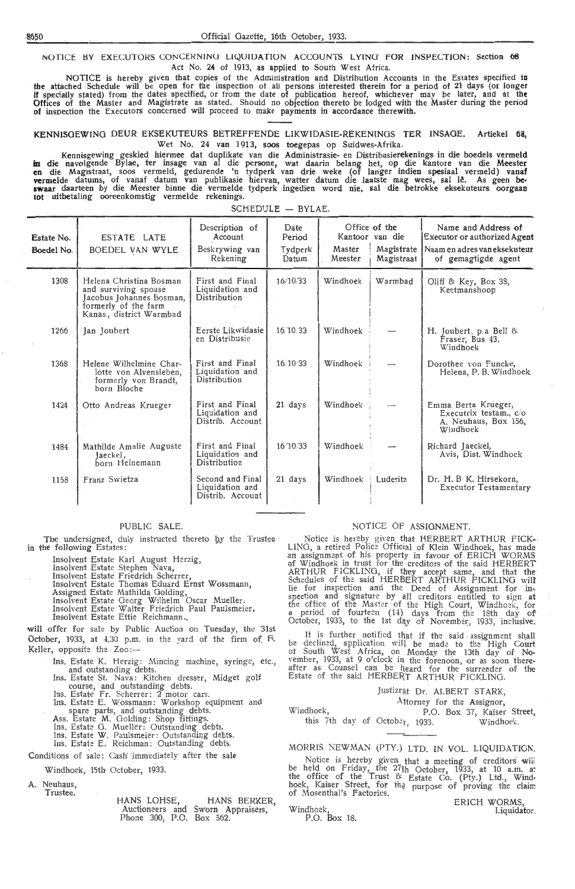NOTICE BY EXECUTORS CONCERNING LIQUIDATION ACCOUNTS LYING FOR INSPECTION: Section 68 Act No. 24 of 1913, as applied to South West Africa.

NOTICE is hereby given that copies of the Administration and Distribution Accounts in the Estates specified **in the** attached Schedule will be open for the inspection ot all persons interested therein for a period of 21 days (or longer **if** specially stated) from the dates specified, or from the date of publication hereof, whichever may be later, and at **the**  Offices of the Master and Magistrate as stated. Should no objection thereto be lodged with the Master during the period **of** inspection the Executors concerned will proceed to make payments in accordance therewith.

**KENNISOEWING** DEUR EKSEKUTEURS BETREFFENDE LIK\VIDASIE-REKENINGS TER INSAOE. Artiekel **68,**  Wet No. 24 van 1913, soos toegepas op Suidwes-Afrika.

Kennisgewing geskied hiermee dat duplikate van die Administrasie- en Distribusierekenings in die boedels vermeld in die navolgende Bylae, ter insage van al die persone, wat daarin belang het, op die kantore van die Meester **en** die Mag1straat, soos vermeld, gedurende 'n tydperk van drie weke (of !anger indien spesiaal vermeld) vanaf vermelde datums, of vanaf datum van publikasie hiervan, watter datum die laatste mag wees, sal lê. As geen be-<br>swaar daarteen by die Meester binne die vermelde tydperk ingedien word nie, sal die betrokke eksekuteurs oorgaa **tot** uitbetaling ooreenkomstig vermelde rekenings.

| Estate No.<br>Boedel No. | ESTATE LATE<br>BOEDEL VAN WYLE                                                                                                 | Description of<br>Account<br>Beskrywing van<br>Rekening | Date<br>Period<br>Tydperk<br>Datum | Master<br>Meester | Office of the<br>Kantoor van die<br>Magistrate  <br>Magistraat | Name and Address of<br>Executor or authorized Agent<br>Naam en adres van eksekuteur<br>of gemagtigde agent |
|--------------------------|--------------------------------------------------------------------------------------------------------------------------------|---------------------------------------------------------|------------------------------------|-------------------|----------------------------------------------------------------|------------------------------------------------------------------------------------------------------------|
| 1308                     | Helena Christina Bosman<br>and surviving spouse<br>Jacobus Johannes Bosman,<br>formerly of the farm<br>Kanas, district Warmbad | First and Final<br>Liquidation and<br>Distribution      | 16/10/33                           | Windhoek          | Warmbad                                                        | Oliff & Key, Box 38,<br>Keetmanshoop                                                                       |
| 1266                     | Jan Joubert                                                                                                                    | Eerste Likwidasie<br>en Distribusie                     | 16.10.33                           | Windhoek          |                                                                | H. Joubert, p.a Bell &<br>Fraser, Bus 43,<br>Windhoek                                                      |
| 1368                     | Helene Wilhelmine Char-<br>lotte von Alvensleben,<br>formerly von Brandt,<br>born Bloche                                       | First and Final<br>Liquidation and<br>Distribution      | 16/10/33                           | Windhoek          |                                                                | Dorothee von Funcke,<br>Helena, P. B. Windhoek                                                             |
| 1424                     | Otto Andreas Krueger                                                                                                           | First and Final<br>Liquidation and<br>Distrib. Account  | 21 days                            | Windhoek          |                                                                | Emma Berta Krueger,<br>Executrix testam., c/o<br>A. Neuhaus, Box 156,<br>Windhoek                          |
| 1484                     | Mathilde Amalie Auguste<br>Jaeckel,<br>born Heinemann                                                                          | First and Final<br>Liquidation and<br>Distribution      | 16/10/33                           | Windhoek          |                                                                | Richard Jaeckel,<br>Avis, Dist. Windhoek                                                                   |
| 1158                     | Franz Swietza                                                                                                                  | Second and Final<br>Liquidation and<br>Distrib. Account | 21 days                            | Windhoek          | Luderitz<br>÷                                                  | Dr. H. B K. Hirsekorn.<br><b>Executor Testamentary</b>                                                     |

 $SCHEDULE = BYLAE.$ 

PUBLIC SALE

The undersigned, duly instructed thereto by the Trustee in the following Estates:

Insolvent Estate Karl August Herzig,<br>Insolvent Estate Stephen Nava,

Insolvent Estate Friedrich Scherrer,

Insolvent Estate Thomas Eduard Ernst Wossmann,

Assigned Estate Mathilda Golding,

Insolvent Estate Georg Wilhelm Oscar Mueller.

Insolvent Estate Walter Friedrich Paul Paulsmeier.

Insolvent Estate Ettie Reichmann. will offer for sale by Public Auction on Tuesday, the 31st

October, 1933, at  $4.30$  p.m. in the yard of the firm of  $F$ Keller, opposite the Zoo:

Ins. Estate K. Herzig: Mincing machine, syringe, etc. and outstanding debts

Ins. Estate St. Nava: Kitchen dresser, Midget golf course, and outstanding debts.

Ins. Estate Fr. Scherrer: 2 motor cars. Ins. Estate E. Wossmann: Workshop equipment and spare parts, and outstanding debts.

Ass. Estate M. Golding: Shop fittings.

Ins. Estate G. Mueller: Outstanding debts.

Ins. Estate W. Paulsmeier: Outstanding debts.

Ins. Estate E. Reichman: Outstanding debts.

Conditions of sale: Cash immediately after the sale

Windhoek, 15th October, 1933.

A. Neuhaus **Trustee** 

> HANS LOHSE, HANS BERKER Auctioneers and Sworn Appraisers, Phone 300, P.O. Box 562.

# NOTICE OF ASSIGNMENT.

Notice is hereby given that HERBERT ARTHUR FICK-LING, a retired Police Official of Klein Windhoek, has made<br>an assignment of his property in favour of ERICH WORMS of Windhoek in trust for the creditors of the said HERBERT ARTHUR FICKLING, if they accept same, and that the Schedules of the said HERBERT ARTHUR FICKLING will lie for inspection and the Deed of Assignment for in-<br>spection and signature by all creditors entitled to sign at the office of the Master of the High Court, Windhoek, for a period of fourteen (14) days from the 18th day of October, 1933, to the 1st day of November, 1933, inclusive.

It is further notified that if the said assignment shall be declined, application will be made to the High Court ot South West Africa, on Monday the 13th day of No-<br>vember, 1933, at 9 o'clock in the forenoon, or as soon thereafter as Counsel can be heard for the surrender of the Estate of the said HERBERT ARTHUR FICKLING.

|           |  | Justizrat Dr. ALBERT STARK,                 |  |
|-----------|--|---------------------------------------------|--|
|           |  | Attorney for the Assignor,                  |  |
| Windhoek. |  | P.O. Box 37, Kaiser Street,                 |  |
|           |  | this 7th day of October, 1933.<br>Windhoek. |  |

MORRIS NEWMAN (PTY.) LTD. IN VOL. LIQUIDATION

Notice is hereby given that a meeting of creditors will be held on Friday, the 27th October, 1933, at 10 a.m. a: the office of the Trust & Estate Co. (Pty.) Ltd., Windhoek, Kaiser Street, for tha purpose of proving the claim of Mosenthal's Factories.

ERICH WORMS, w Sixins,<br>Liquidator

Windhoek, P.O. Box 18.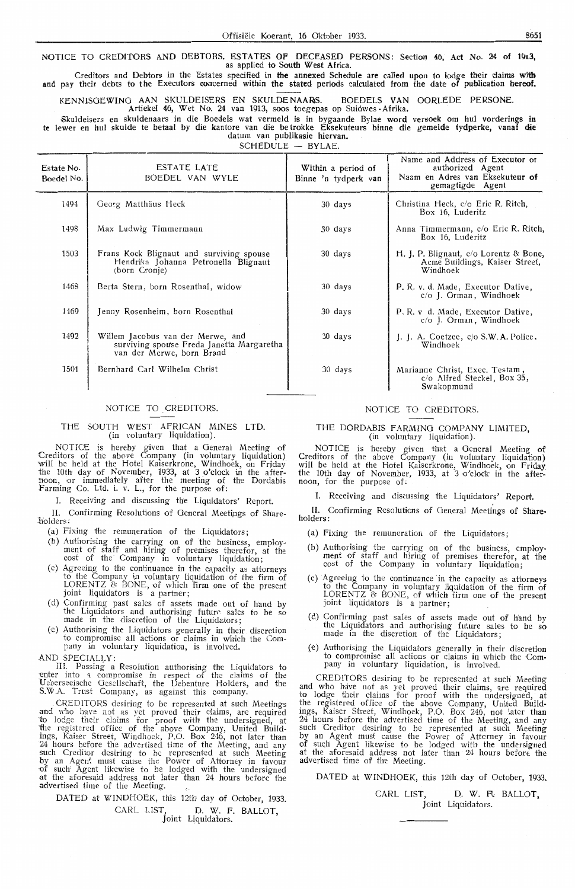NOTICE TO CREDITORS AND DEBTORS. ESTATES OF DECEASED PERSONS: Section 46, Act No. 24 of 1913, as applied to South West Africa.

Creditors and Debtors in the Estates specified in the annexed Schedule are called upon to lodge their claims **with**  and pay their debts to the Executors concerned within the stated periods calculated from the date of publication hereof.

KENN1SOEWINO AAN SKULDEISERS EN SKULDE NAA~S. BOEDELS VAN OORLEDE PERSONE.

Artiekel 46, Wet No. 24 van 1913, soos toegepas op Suidwes -Afrika.

Skuldeisers en skuldenaars in die Boede!s wat vermeld is in bygaande Bylae word versoek om hul vorderings **in te** !ewer en hul skulde te betaal by die kantore van die be trokke Eksekuteurs binne die gemelde tydperke, vanaf **die**  datum van publikasie hiervan.

 $SCHFDUIE - BVIAF$ 

| Estate No.<br>Boedel No. | ESTATE LATE<br>BOEDEL VAN WYLE                                                                              | Within a period of<br>Binne 'n tydperk van | Name and Address of Executor or<br>authorized Agent<br>Naam en Adres van Eksekuteur of<br>gemagtigde Agent |
|--------------------------|-------------------------------------------------------------------------------------------------------------|--------------------------------------------|------------------------------------------------------------------------------------------------------------|
| 1494                     | Georg Matthäus Heck                                                                                         | 30 days                                    | Christina Heck, c/o Eric R. Ritch,<br>Box 16, Luderitz                                                     |
| 1498                     | Max Ludwig Timmermann                                                                                       | 30 days                                    | Anna Timmermann, c/o Eric R. Ritch,<br>Box 16, Luderitz                                                    |
| 1503                     | Frans Kock Blignaut and surviving spouse<br>Hendrika Johanna Petronella Blignaut<br>(born Cronje)           | 30 days                                    | H. J. P. Blignaut, $c/o$ Lorentz & Bone,<br>Acme Buildings, Kaiser Street,<br>Windhoek                     |
| 1468                     | Berta Stern, born Rosenthal, widow                                                                          | 30 days                                    | P. R. v. d. Made, Executor Dative,<br>c/o J. Orman, Windhoek                                               |
| 1469                     | Jenny Rosenheim, born Rosenthal                                                                             | 30 days                                    | P.R. v d. Made, Executor Dative,<br>$c/o$ J. Orman, Windhoek                                               |
| 1492                     | Willem Jacobus van der Merwe, and<br>surviving spouse Freda Janetta Margaretha<br>van der Merwe, born Brand | 30 days                                    | J. J. A. Coetzee, $c/\sigma$ S.W. A. Police,<br>Windhoek                                                   |
| 1501                     | Bernhard Carl Wilhelm Christ                                                                                | 30 days                                    | Marianne Christ, Exec. Testam,<br>c/o Alfred Steckel, Box 35,<br>Swakopmund                                |

# NOTICE TO CREDITORS.

# THE SOUTH WEST AFRICAN MINES LTD. (in voluntary liquidation).

NOTICE is hereby given that a General Meeting of Creditors of the above Company (in voluntary liquidation)\_ will be held at the Hotel Kaiserkrone, Windhoek, on Friday the 10th day of November, 1933, at 3 o'clock in the after-<br>noon, or immediately after the meeting of the Dordabis Farming Co. Ltd. i. v. L., for the purpose of:

I. Receiving and discussing the Liquidators' Report.

II. Confirming Resolutions of General Meetings of Share-

(a) Fixing the remuneration of the Liquidators:

- (b) Authorising the carrying on of the business, employ- ment of staff and hiring of premises the refor, at the cost of the Company in voluntary liquidation;
- (c) Agreeing to the continuance in the ca\_pacity as attorneys to the Company in voluntary liquidation of the firm of LORENTZ & BONE, of which **firm** one of the present joint liquidators is a partner ;
- (d) Confirming past sales of assets made out of hand by the Liquidators and authorising future sales to be so made in the discretion of the Liquidators;
- (e) Authorising the Liquidators generally in their discretion to compromise all actions or claims in which the Company in voluntary liquidation, is involved.
- .AND SPECIALLY:

III. Passing a Resolution authorising the Liquidators to enter into a compromise in respect of the claims of the Ueberseeische Gesellschaft, the Debenture Holders, and the S.W.A. Trust Company, as against this company.

. CREDITORS desiring to be represented at such Meetings and who have not as yet proved their claims, are required to lodge their claims for proof with the undersigned, at the registered office of the above Company, United Build-ings, Kaiser Street, Windhoek, P.O. Box 246, not later than 24 hours before the advertised time of the Meeting, and any such Creditor desiring *to* be represented at such Meeting by an Agent must cause the Power of Attorney in favour of such Agent likewise to be lodged with the undersigned at the aforesaid address not later than 24 hours before the advertised time of the Meeting.

DATED at WINDHOEK, this 12th day of October, 1933. CARL LIST, D. W. F. BALLOT,<br>Joint Liquidators.

# NOTICE TO CREDITORS.

## THE DORDABIS FARMING COMPANY LIMITED (in voluntary liquidation).

NOTICE is hereby given that a General Meeting of Creditors of the above Company (in voluntary liquidation) will be held at the Hotel Kaiserkrone, Windhoek, on Friday the 10th day of November, 1933, at 3 o'clock in the after-<br>noon, for the purpose of:

I. Receiving and discussing the Liquidators' Report.

II. Confirming Resolutions of General Meetings of Share-

- (a) Fixing the remuneration of the Liquidators;
- (b) Authorising the carrying on of the business, employ- ment of staff and hiring of premises therefor, at the cost of the Company in voluntary liquidation;
- (c) Agreeing to the continuance ·in the capacity as attorneys to the Company in voluntary liquidation of the firm of LORENTZ & BONE, of which firm one of the present joint liquidators is a partner;
- (d) Confirming past sales of assets made out of hand by the Liquidators and authorising future sales to be so made in the discretion of the Liquidators;
- {e ) Authorising the Liquidators generally *in* their discretion to compromise all actions or claims in whkh the Com-pany in voluntary liquidation, is involved.

CREDITORS desiring to be represented at such Meeting and w'ho have not as yet proved their claims, are required to lodge their claims for proof with the undersigned, at the registered office of the above Company, United Buildings, Kaiser Street, Windhoek, P.O. Box 246, not later than 24 hours before the advertised time of the Meeting, and any such Creditor desiring to be represented at such Meeting by an Agent must cause the Power of Attorney in favour of such Agent likewise to be lodged with the undersigned at the aforesaid address not later than 24 hours before the advertised time of the Meeting.

DATED at WINDHOEK, this 12th day of October, 1933.

CARL LIST, D. W. R. BALLOT, Joint Liquidators.